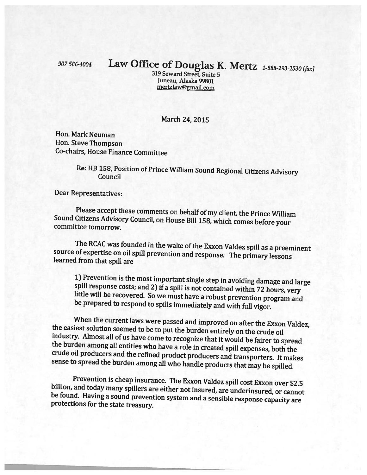## <sup>907</sup> 586-4004 Law Office of Douglas K. Mertz 1-888-293-2530 Ifaxl

319 Seward Street, Suite 5 Juneau, Alaska 99801 mertzlaw@gmail.com

## March 24, 2015

Hon. Mark Neuman Hon. Steve Thompson Co-chairs, House Finance Committee

## Re: HB 158, Position of Prince William Sound Regional Citizens Advisory Council

Dear Representatives:

Please accept these comments on behalf of my client, the Prince William Sound Citizens Advisory Council, on House Bill 158, which comes before your committee tomorrow.

The RCAC was founded in the wake of the Exxon Valdez spill as <sup>a</sup> preeminent source of expertise on oil spill prevention and response. The primary lessons learned from that spill are

1) Prevention is the most important single step in avoiding damage and large spill response costs; and 2) if a spill is not contained within 72 hours, very little will be recovered. So we must have a robust prevention prog

When the current laws were passed and improved on after the Exxon Valdez,<br>the easiest solution seemed to be to put the burden entirely on the crude oil<br>industry. Almost all of us have come to recognize that it would be fai

Prevention is cheap insurance. The Exxon Valdez spill cost Exxon over \$2.5 billion, and today many spillers are either not insured, are underinsured, or cannot be found. Having a sound prevention system and a sensible resp